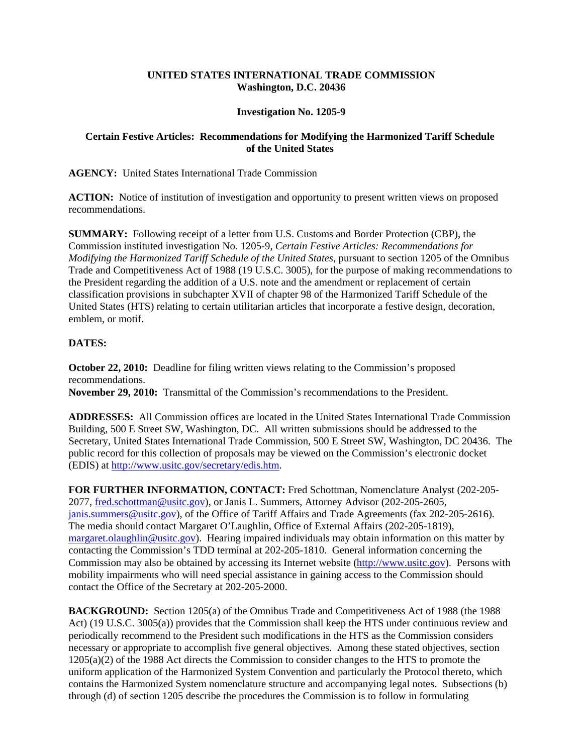## **UNITED STATES INTERNATIONAL TRADE COMMISSION Washington, D.C. 20436**

## **Investigation No. 1205-9**

## **Certain Festive Articles: Recommendations for Modifying the Harmonized Tariff Schedule of the United States**

**AGENCY:** United States International Trade Commission

**ACTION:** Notice of institution of investigation and opportunity to present written views on proposed recommendations.

**SUMMARY:** Following receipt of a letter from U.S. Customs and Border Protection (CBP), the Commission instituted investigation No. 1205-9, *Certain Festive Articles: Recommendations for Modifying the Harmonized Tariff Schedule of the United States*, pursuant to section 1205 of the Omnibus Trade and Competitiveness Act of 1988 (19 U.S.C. 3005), for the purpose of making recommendations to the President regarding the addition of a U.S. note and the amendment or replacement of certain classification provisions in subchapter XVII of chapter 98 of the Harmonized Tariff Schedule of the United States (HTS) relating to certain utilitarian articles that incorporate a festive design, decoration, emblem, or motif.

## **DATES:**

**October 22, 2010:** Deadline for filing written views relating to the Commission's proposed recommendations.

**November 29, 2010:** Transmittal of the Commission's recommendations to the President.

**ADDRESSES:** All Commission offices are located in the United States International Trade Commission Building, 500 E Street SW, Washington, DC. All written submissions should be addressed to the Secretary, United States International Trade Commission, 500 E Street SW, Washington, DC 20436. The public record for this collection of proposals may be viewed on the Commission's electronic docket (EDIS) at http://www.usitc.gov/secretary/edis.htm.

**FOR FURTHER INFORMATION, CONTACT:** Fred Schottman, Nomenclature Analyst (202-205- 2077, fred.schottman@usitc.gov), or Janis L. Summers, Attorney Advisor (202-205-2605, janis.summers@usitc.gov), of the Office of Tariff Affairs and Trade Agreements (fax 202-205-2616). The media should contact Margaret O'Laughlin, Office of External Affairs (202-205-1819), margaret.olaughlin@usitc.gov). Hearing impaired individuals may obtain information on this matter by contacting the Commission's TDD terminal at 202-205-1810. General information concerning the Commission may also be obtained by accessing its Internet website (http://www.usitc.gov). Persons with mobility impairments who will need special assistance in gaining access to the Commission should contact the Office of the Secretary at 202-205-2000.

**BACKGROUND:** Section 1205(a) of the Omnibus Trade and Competitiveness Act of 1988 (the 1988) Act) (19 U.S.C. 3005(a)) provides that the Commission shall keep the HTS under continuous review and periodically recommend to the President such modifications in the HTS as the Commission considers necessary or appropriate to accomplish five general objectives. Among these stated objectives, section 1205(a)(2) of the 1988 Act directs the Commission to consider changes to the HTS to promote the uniform application of the Harmonized System Convention and particularly the Protocol thereto, which contains the Harmonized System nomenclature structure and accompanying legal notes. Subsections (b) through (d) of section 1205 describe the procedures the Commission is to follow in formulating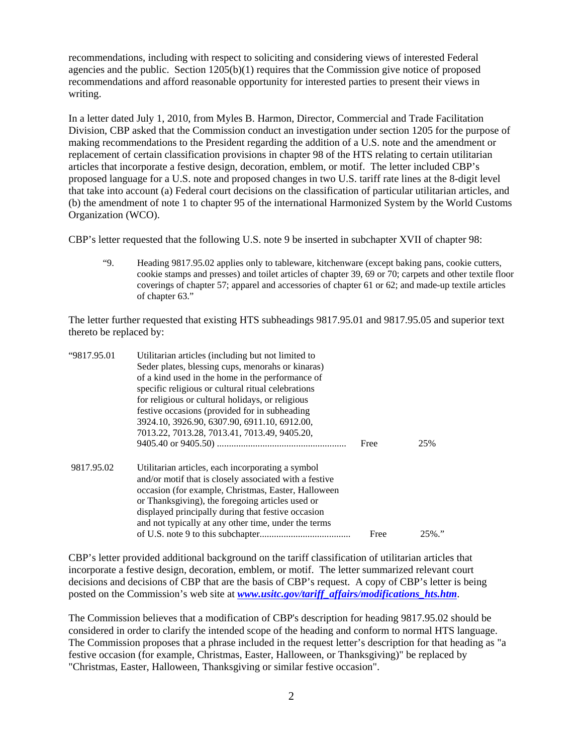recommendations, including with respect to soliciting and considering views of interested Federal agencies and the public. Section  $1205(b)(1)$  requires that the Commission give notice of proposed recommendations and afford reasonable opportunity for interested parties to present their views in writing.

In a letter dated July 1, 2010, from Myles B. Harmon, Director, Commercial and Trade Facilitation Division, CBP asked that the Commission conduct an investigation under section 1205 for the purpose of making recommendations to the President regarding the addition of a U.S. note and the amendment or replacement of certain classification provisions in chapter 98 of the HTS relating to certain utilitarian articles that incorporate a festive design, decoration, emblem, or motif. The letter included CBP's proposed language for a U.S. note and proposed changes in two U.S. tariff rate lines at the 8-digit level that take into account (a) Federal court decisions on the classification of particular utilitarian articles, and (b) the amendment of note 1 to chapter 95 of the international Harmonized System by the World Customs Organization (WCO).

CBP's letter requested that the following U.S. note 9 be inserted in subchapter XVII of chapter 98:

"9. Heading 9817.95.02 applies only to tableware, kitchenware (except baking pans, cookie cutters, cookie stamps and presses) and toilet articles of chapter 39, 69 or 70; carpets and other textile floor coverings of chapter 57; apparel and accessories of chapter 61 or 62; and made-up textile articles of chapter 63."

The letter further requested that existing HTS subheadings 9817.95.01 and 9817.95.05 and superior text thereto be replaced by:

| "9817.95.01 | Utilitarian articles (including but not limited to     |      |           |
|-------------|--------------------------------------------------------|------|-----------|
|             | Seder plates, blessing cups, menorahs or kinaras)      |      |           |
|             | of a kind used in the home in the performance of       |      |           |
|             | specific religious or cultural ritual celebrations     |      |           |
|             | for religious or cultural holidays, or religious       |      |           |
|             | festive occasions (provided for in subheading          |      |           |
|             | 3924.10, 3926.90, 6307.90, 6911.10, 6912.00,           |      |           |
|             | 7013.22, 7013.28, 7013.41, 7013.49, 9405.20,           |      |           |
|             |                                                        | Free | 25%       |
| 9817.95.02  | Utilitarian articles, each incorporating a symbol      |      |           |
|             | and/or motif that is closely associated with a festive |      |           |
|             | occasion (for example, Christmas, Easter, Halloween    |      |           |
|             | or Thanksgiving), the foregoing articles used or       |      |           |
|             | displayed principally during that festive occasion     |      |           |
|             | and not typically at any other time, under the terms   |      |           |
|             |                                                        | Free | $25\%$ ." |

CBP's letter provided additional background on the tariff classification of utilitarian articles that incorporate a festive design, decoration, emblem, or motif. The letter summarized relevant court decisions and decisions of CBP that are the basis of CBP's request. A copy of CBP's letter is being posted on the Commission's web site at *www.usitc.gov/tariff\_affairs/modifications\_hts.htm*.

The Commission believes that a modification of CBP's description for heading 9817.95.02 should be considered in order to clarify the intended scope of the heading and conform to normal HTS language. The Commission proposes that a phrase included in the request letter's description for that heading as "a festive occasion (for example, Christmas, Easter, Halloween, or Thanksgiving)" be replaced by "Christmas, Easter, Halloween, Thanksgiving or similar festive occasion".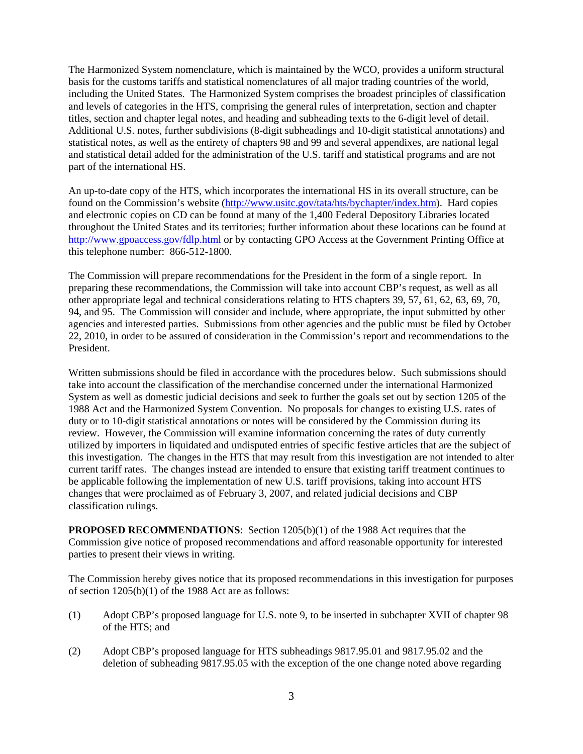The Harmonized System nomenclature, which is maintained by the WCO, provides a uniform structural basis for the customs tariffs and statistical nomenclatures of all major trading countries of the world, including the United States. The Harmonized System comprises the broadest principles of classification and levels of categories in the HTS, comprising the general rules of interpretation, section and chapter titles, section and chapter legal notes, and heading and subheading texts to the 6-digit level of detail. Additional U.S. notes, further subdivisions (8-digit subheadings and 10-digit statistical annotations) and statistical notes, as well as the entirety of chapters 98 and 99 and several appendixes, are national legal and statistical detail added for the administration of the U.S. tariff and statistical programs and are not part of the international HS.

An up-to-date copy of the HTS, which incorporates the international HS in its overall structure, can be found on the Commission's website (http://www.usitc.gov/tata/hts/bychapter/index.htm). Hard copies and electronic copies on CD can be found at many of the 1,400 Federal Depository Libraries located throughout the United States and its territories; further information about these locations can be found at http://www.gpoaccess.gov/fdlp.html or by contacting GPO Access at the Government Printing Office at this telephone number: 866-512-1800.

The Commission will prepare recommendations for the President in the form of a single report. In preparing these recommendations, the Commission will take into account CBP's request, as well as all other appropriate legal and technical considerations relating to HTS chapters 39, 57, 61, 62, 63, 69, 70, 94, and 95. The Commission will consider and include, where appropriate, the input submitted by other agencies and interested parties. Submissions from other agencies and the public must be filed by October 22, 2010, in order to be assured of consideration in the Commission's report and recommendations to the President.

Written submissions should be filed in accordance with the procedures below. Such submissions should take into account the classification of the merchandise concerned under the international Harmonized System as well as domestic judicial decisions and seek to further the goals set out by section 1205 of the 1988 Act and the Harmonized System Convention. No proposals for changes to existing U.S. rates of duty or to 10-digit statistical annotations or notes will be considered by the Commission during its review. However, the Commission will examine information concerning the rates of duty currently utilized by importers in liquidated and undisputed entries of specific festive articles that are the subject of this investigation. The changes in the HTS that may result from this investigation are not intended to alter current tariff rates. The changes instead are intended to ensure that existing tariff treatment continues to be applicable following the implementation of new U.S. tariff provisions, taking into account HTS changes that were proclaimed as of February 3, 2007, and related judicial decisions and CBP classification rulings.

**PROPOSED RECOMMENDATIONS:** Section 1205(b)(1) of the 1988 Act requires that the Commission give notice of proposed recommendations and afford reasonable opportunity for interested parties to present their views in writing.

The Commission hereby gives notice that its proposed recommendations in this investigation for purposes of section 1205(b)(1) of the 1988 Act are as follows:

- (1) Adopt CBP's proposed language for U.S. note 9, to be inserted in subchapter XVII of chapter 98 of the HTS; and
- (2) Adopt CBP's proposed language for HTS subheadings 9817.95.01 and 9817.95.02 and the deletion of subheading 9817.95.05 with the exception of the one change noted above regarding